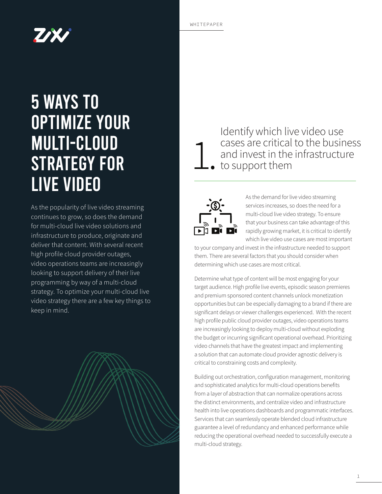# **TAX**

## 5 Ways to Optimize Your Multi-Cloud Strategy for Live Video

As the popularity of live video streaming continues to grow, so does the demand for multi-cloud live video solutions and infrastructure to produce, originate and deliver that content. With several recent high profile cloud provider outages, video operations teams are increasingly looking to support delivery of their live programming by way of a multi-cloud strategy. To optimize your multi-cloud live video strategy there are a few key things to keep in mind.



### Identify which live video use cases are critical to the business and invest in the infrastructure • to support them 1.



As the demand for live video streaming services increases, so does the need for a multi-cloud live video strategy. To ensure that your business can take advantage of this rapidly growing market, it is critical to identify which live video use cases are most important

to your company and invest in the infrastructure needed to support them. There are several factors that you should consider when determining which use cases are most critical.

Determine what type of content will be most engaging for your target audience. High profile live events, episodic season premieres and premium sponsored content channels unlock monetization opportunities but can be especially damaging to a brand if there are significant delays or viewer challenges experienced. With the recent high profile public cloud provider outages, video operations teams are increasingly looking to deploy multi-cloud without exploding the budget or incurring significant operational overhead. Prioritizing video channels that have the greatest impact and implementing a solution that can automate cloud provider agnostic delivery is critical to constraining costs and complexity.

Building out orchestration, configuration management, monitoring and sophisticated analytics for multi-cloud operations benefits from a layer of abstraction that can normalize operations across the distinct environments, and centralize video and infrastructure health into live operations dashboards and programmatic interfaces. Services that can seamlessly operate blended cloud infrastructure guarantee a level of redundancy and enhanced performance while reducing the operational overhead needed to successfully execute a multi-cloud strategy.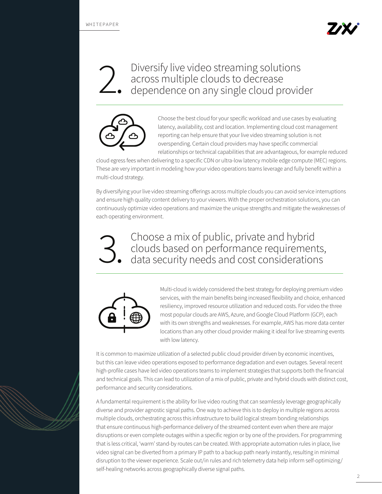### Diversify live video streaming solutions dependence on any single cloud provider



Choose the best cloud for your specific workload and use cases by evaluating latency, availability, cost and location. Implementing cloud cost management reporting can help ensure that your live video streaming solution is not overspending. Certain cloud providers may have specific commercial relationships or technical capabilities that are advantageous, for example reduced

cloud egress fees when delivering to a specific CDN or ultra-low latency mobile edge compute (MEC) regions. These are very important in modeling how your video operations teams leverage and fully benefit within a multi-cloud strategy.

By diversifying your live video streaming offerings across multiple clouds you can avoid service interruptions and ensure high quality content delivery to your viewers. With the proper orchestration solutions, you can continuously optimize video operations and maximize the unique strengths and mitigate the weaknesses of each operating environment.

Choose a mix of public, private and hybrid clouds based on performance requirements, data security needs and cost considerations 3.



Multi-cloud is widely considered the best strategy for deploying premium video services, with the main benefits being increased flexibility and choice, enhanced resiliency, improved resource utilization and reduced costs. For video the three most popular clouds are AWS, Azure, and Google Cloud Platform (GCP), each with its own strengths and weaknesses. For example, AWS has more data center locations than any other cloud provider making it ideal for live streaming events with low latency.

It is common to maximize utilization of a selected public cloud provider driven by economic incentives, but this can leave video operations exposed to performance degradation and even outages. Several recent high-profile cases have led video operations teams to implement strategies that supports both the financial and technical goals. This can lead to utilization of a mix of public, private and hybrid clouds with distinct cost, performance and security considerations.

A fundamental requirement is the ability for live video routing that can seamlessly leverage geographically diverse and provider agnostic signal paths. One way to achieve this is to deploy in multiple regions across multiple clouds, orchestrating across this infrastructure to build logical stream bonding relationships that ensure continuous high-performance delivery of the streamed content even when there are major disruptions or even complete outages within a specific region or by one of the providers. For programming that is less critical, 'warm' stand-by routes can be created. With appropriate automation rules in place, live video signal can be diverted from a primary IP path to a backup path nearly instantly, resulting in minimal disruption to the viewer experience. Scale out/in rules and rich telemetry data help inform self-optimizing/ self-healing networks across geographically diverse signal paths.